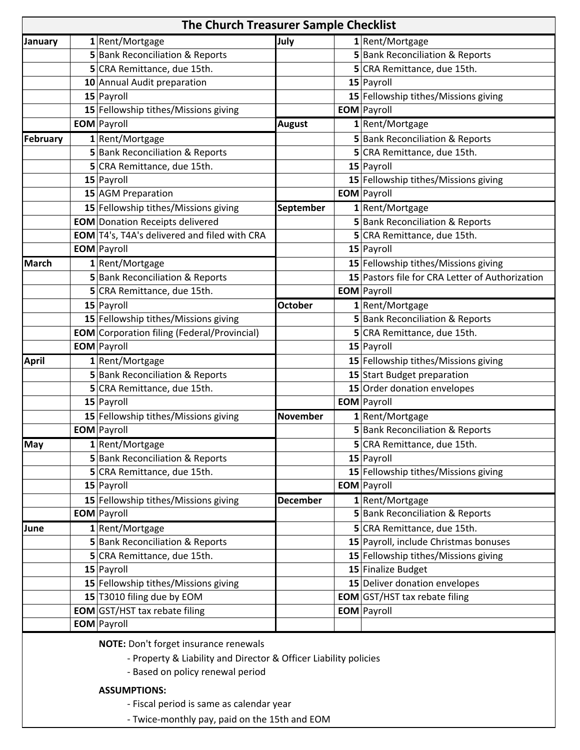| The Church Treasurer Sample Checklist |  |                                                     |                  |  |                                                 |
|---------------------------------------|--|-----------------------------------------------------|------------------|--|-------------------------------------------------|
| January                               |  | 1 Rent/Mortgage                                     | July             |  | 1 Rent/Mortgage                                 |
|                                       |  | 5 Bank Reconciliation & Reports                     |                  |  | 5 Bank Reconciliation & Reports                 |
|                                       |  | 5 CRA Remittance, due 15th.                         |                  |  | 5 CRA Remittance, due 15th.                     |
|                                       |  | 10 Annual Audit preparation                         |                  |  | 15 Payroll                                      |
|                                       |  | 15 Payroll                                          |                  |  | 15 Fellowship tithes/Missions giving            |
|                                       |  | 15 Fellowship tithes/Missions giving                |                  |  | <b>EOM</b> Payroll                              |
|                                       |  | <b>EOM</b> Payroll                                  | <b>August</b>    |  | 1 Rent/Mortgage                                 |
| February                              |  | 1 Rent/Mortgage                                     |                  |  | 5 Bank Reconciliation & Reports                 |
|                                       |  | 5 Bank Reconciliation & Reports                     |                  |  | 5 CRA Remittance, due 15th.                     |
|                                       |  | 5 CRA Remittance, due 15th.                         |                  |  | 15 Payroll                                      |
|                                       |  | 15 Payroll                                          |                  |  | 15 Fellowship tithes/Missions giving            |
|                                       |  | 15 AGM Preparation                                  |                  |  | <b>EOM</b> Payroll                              |
|                                       |  | 15 Fellowship tithes/Missions giving                | <b>September</b> |  | 1 Rent/Mortgage                                 |
|                                       |  | <b>EOM</b> Donation Receipts delivered              |                  |  | 5 Bank Reconciliation & Reports                 |
|                                       |  | <b>EOM</b> T4's, T4A's delivered and filed with CRA |                  |  | 5 CRA Remittance, due 15th.                     |
|                                       |  | <b>EOM</b> Payroll                                  |                  |  | 15 Payroll                                      |
| March                                 |  | 1 Rent/Mortgage                                     |                  |  | 15 Fellowship tithes/Missions giving            |
|                                       |  | 5 Bank Reconciliation & Reports                     |                  |  | 15 Pastors file for CRA Letter of Authorization |
|                                       |  | 5 CRA Remittance, due 15th.                         |                  |  | <b>EOM</b> Payroll                              |
|                                       |  | 15 Payroll                                          | <b>October</b>   |  | 1 Rent/Mortgage                                 |
|                                       |  | 15 Fellowship tithes/Missions giving                |                  |  | 5 Bank Reconciliation & Reports                 |
|                                       |  | <b>EOM</b> Corporation filing (Federal/Provincial)  |                  |  | 5 CRA Remittance, due 15th.                     |
|                                       |  | <b>EOM</b> Payroll                                  |                  |  | 15 Payroll                                      |
| <b>April</b>                          |  | 1 Rent/Mortgage                                     |                  |  | 15 Fellowship tithes/Missions giving            |
|                                       |  | 5 Bank Reconciliation & Reports                     |                  |  | 15 Start Budget preparation                     |
|                                       |  | 5 CRA Remittance, due 15th.                         |                  |  | 15 Order donation envelopes                     |
|                                       |  | 15 Payroll                                          |                  |  | <b>EOM</b> Payroll                              |
|                                       |  | 15 Fellowship tithes/Missions giving                | <b>November</b>  |  | 1 Rent/Mortgage                                 |
|                                       |  | <b>EOM</b> Payroll                                  |                  |  | 5 Bank Reconciliation & Reports                 |
| <b>May</b>                            |  | 1 Rent/Mortgage                                     |                  |  | 5 CRA Remittance, due 15th.                     |
|                                       |  | <b>5</b> Bank Reconciliation & Reports              |                  |  | 15 Payroll                                      |
|                                       |  | 5 CRA Remittance, due 15th.                         |                  |  | 15 Fellowship tithes/Missions giving            |
|                                       |  | 15 Payroll                                          |                  |  | <b>EOM</b> Payroll                              |
|                                       |  | 15 Fellowship tithes/Missions giving                | <b>December</b>  |  | 1 Rent/Mortgage                                 |
|                                       |  | <b>EOM</b> Payroll                                  |                  |  | <b>5</b> Bank Reconciliation & Reports          |
| June                                  |  | 1 Rent/Mortgage                                     |                  |  | 5 CRA Remittance, due 15th.                     |
|                                       |  | 5 Bank Reconciliation & Reports                     |                  |  | 15 Payroll, include Christmas bonuses           |
|                                       |  | 5 CRA Remittance, due 15th.                         |                  |  | 15 Fellowship tithes/Missions giving            |
|                                       |  | $15$ Payroll                                        |                  |  | 15 Finalize Budget                              |
|                                       |  | 15 Fellowship tithes/Missions giving                |                  |  | 15 Deliver donation envelopes                   |
|                                       |  | 15 T3010 filing due by EOM                          |                  |  | <b>EOM</b> GST/HST tax rebate filing            |
|                                       |  | <b>EOM</b> GST/HST tax rebate filing                |                  |  | <b>EOM</b> Payroll                              |
|                                       |  | <b>EOM</b> Payroll                                  |                  |  |                                                 |

**NOTE:** Don't forget insurance renewals

- ‐ Property & Liability and Director & Officer Liability policies
- ‐ Based on policy renewal period

## **ASSUMPTIONS:**

- ‐ Fiscal period is same as calendar year
- ‐ Twice‐monthly pay, paid on the 15th and EOM